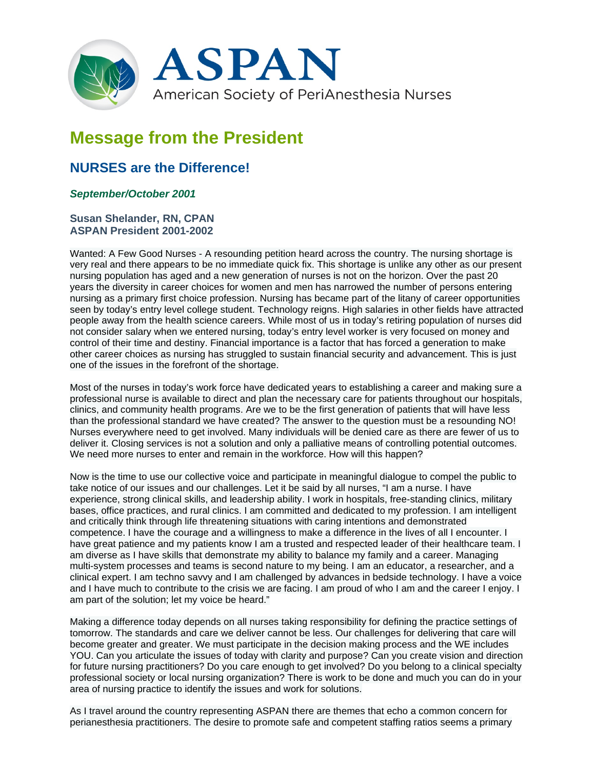

## **Message from the President**

## **NURSES are the Difference!**

## *September/October 2001*

**Susan Shelander, RN, CPAN ASPAN President 2001-2002**

Wanted: A Few Good Nurses - A resounding petition heard across the country. The nursing shortage is very real and there appears to be no immediate quick fix. This shortage is unlike any other as our present nursing population has aged and a new generation of nurses is not on the horizon. Over the past 20 years the diversity in career choices for women and men has narrowed the number of persons entering nursing as a primary first choice profession. Nursing has became part of the litany of career opportunities seen by today's entry level college student. Technology reigns. High salaries in other fields have attracted people away from the health science careers. While most of us in today's retiring population of nurses did not consider salary when we entered nursing, today's entry level worker is very focused on money and control of their time and destiny. Financial importance is a factor that has forced a generation to make other career choices as nursing has struggled to sustain financial security and advancement. This is just one of the issues in the forefront of the shortage.

Most of the nurses in today's work force have dedicated years to establishing a career and making sure a professional nurse is available to direct and plan the necessary care for patients throughout our hospitals, clinics, and community health programs. Are we to be the first generation of patients that will have less than the professional standard we have created? The answer to the question must be a resounding NO! Nurses everywhere need to get involved. Many individuals will be denied care as there are fewer of us to deliver it. Closing services is not a solution and only a palliative means of controlling potential outcomes. We need more nurses to enter and remain in the workforce. How will this happen?

Now is the time to use our collective voice and participate in meaningful dialogue to compel the public to take notice of our issues and our challenges. Let it be said by all nurses, "I am a nurse. I have experience, strong clinical skills, and leadership ability. I work in hospitals, free-standing clinics, military bases, office practices, and rural clinics. I am committed and dedicated to my profession. I am intelligent and critically think through life threatening situations with caring intentions and demonstrated competence. I have the courage and a willingness to make a difference in the lives of all I encounter. I have great patience and my patients know I am a trusted and respected leader of their healthcare team. I am diverse as I have skills that demonstrate my ability to balance my family and a career. Managing multi-system processes and teams is second nature to my being. I am an educator, a researcher, and a clinical expert. I am techno savvy and I am challenged by advances in bedside technology. I have a voice and I have much to contribute to the crisis we are facing. I am proud of who I am and the career I enjoy. I am part of the solution; let my voice be heard."

Making a difference today depends on all nurses taking responsibility for defining the practice settings of tomorrow. The standards and care we deliver cannot be less. Our challenges for delivering that care will become greater and greater. We must participate in the decision making process and the WE includes YOU. Can you articulate the issues of today with clarity and purpose? Can you create vision and direction for future nursing practitioners? Do you care enough to get involved? Do you belong to a clinical specialty professional society or local nursing organization? There is work to be done and much you can do in your area of nursing practice to identify the issues and work for solutions.

As I travel around the country representing ASPAN there are themes that echo a common concern for perianesthesia practitioners. The desire to promote safe and competent staffing ratios seems a primary